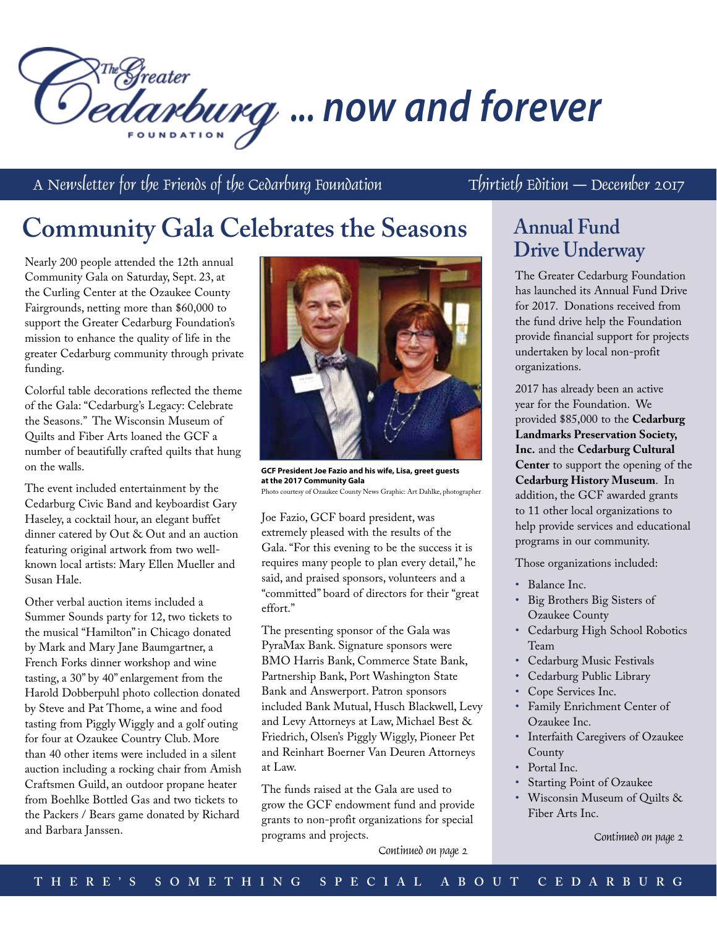

A Newsletter for the Friends of the Cedarburg Foundation Thirtieth Edition – December 2017

# **Community Gala Celebrates the Seasons**

Nearly 200 people attended the 12th annual Community Gala on Saturday, Sept. 23, at the Curling Center at the Ozaukee County Fairgrounds, netting more than \$60,000 to support the Greater Cedarburg Foundation's mission to enhance the quality of life in the greater Cedarburg community through private funding.

Colorful table decorations reflected the theme of the Gala: "Cedarburg's Legacy: Celebrate the Seasons." The Wisconsin Museum of Quilts and Fiber Arts loaned the GCF a number of beautifully crafted quilts that hung on the walls.

The event included entertainment by the Cedarburg Civic Band and keyboardist Gary Haseley, a cocktail hour, an elegant buffet dinner catered by Out & Out and an auction featuring original artwork from two wellknown local artists: Mary Ellen Mueller and Susan Hale.

Other verbal auction items included a Summer Sounds party for 12, two tickets to the musical "Hamilton" in Chicago donated by Mark and Mary Jane Baumgartner, a French Forks dinner workshop and wine tasting, a 30" by 40" enlargement from the Harold Dobberpuhl photo collection donated by Steve and Pat Thome, a wine and food tasting from Piggly Wiggly and a golf outing for four at Ozaukee Country Club. More than 40 other items were included in a silent auction including a rocking chair from Amish Craftsmen Guild, an outdoor propane heater from Boehlke Bottled Gas and two tickets to the Packers / Bears game donated by Richard and Barbara Janssen.



**GCF President Joe Fazio and his wife, Lisa, greet guests at the 2017 Community Gala** Photo courtesy of Ozaukee County News Graphic: Art Dahlke, photographer

Joe Fazio, GCF board president, was extremely pleased with the results of the Gala. "For this evening to be the success it is requires many people to plan every detail," he said, and praised sponsors, volunteers and a "committed" board of directors for their "great effort."

The presenting sponsor of the Gala was PyraMax Bank. Signature sponsors were BMO Harris Bank, Commerce State Bank, Partnership Bank, Port Washington State Bank and Answerport. Patron sponsors included Bank Mutual, Husch Blackwell, Levy and Levy Attorneys at Law, Michael Best & Friedrich, Olsen's Piggly Wiggly, Pioneer Pet and Reinhart Boerner Van Deuren Attorneys at Law.

The funds raised at the Gala are used to grow the GCF endowment fund and provide grants to non-profit organizations for special programs and projects.

# **Annual Fund Drive Underway**

The Greater Cedarburg Foundation has launched its Annual Fund Drive for 2017. Donations received from the fund drive help the Foundation provide financial support for projects undertaken by local non-profit organizations.

2017 has already been an active year for the Foundation. We provided \$85,000 to the **Cedarburg Landmarks Preservation Society, Inc.** and the **Cedarburg Cultural Center** to support the opening of the **Cedarburg History Museum**. In addition, the GCF awarded grants to 11 other local organizations to help provide services and educational programs in our community.

Those organizations included:

- • Balance Inc.
- • Big Brothers Big Sisters of Ozaukee County
- • Cedarburg High School Robotics Team
- • Cedarburg Music Festivals
- Cedarburg Public Library
- Cope Services Inc.
- • Family Enrichment Center of Ozaukee Inc.
- • Interfaith Caregivers of Ozaukee County
- Portal Inc.
- Starting Point of Ozaukee
- • Wisconsin Museum of Quilts & Fiber Arts Inc.

Continued on page 2

Continued on page 2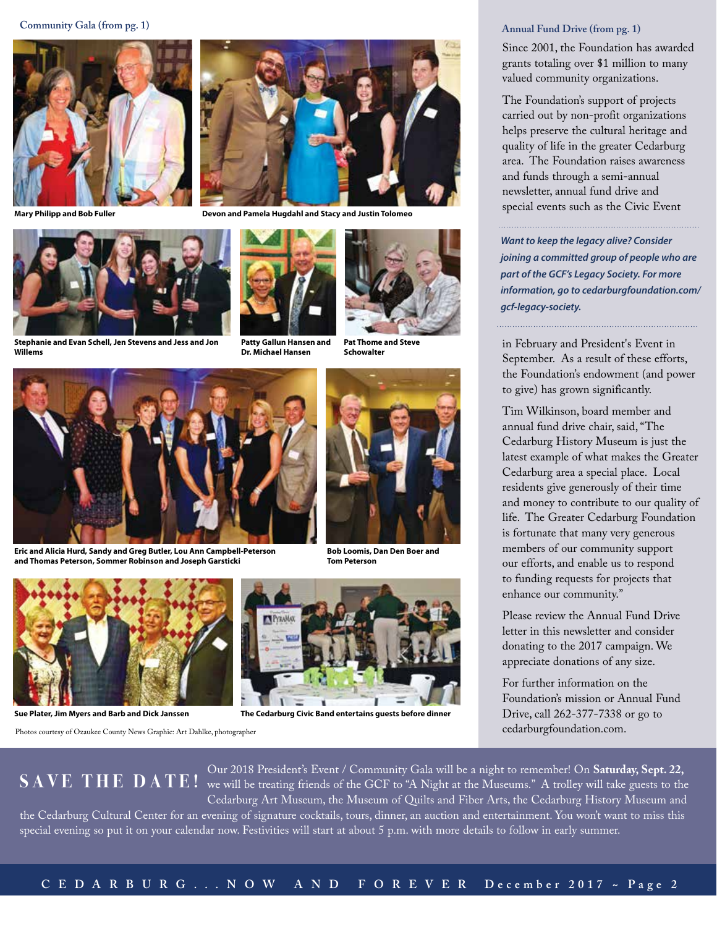



**Stephanie and Evan Schell, Jen Stevens and Jess and Jon Willems**



**Mary Philipp and Bob Fuller Devon and Pamela Hugdahl and Stacy and Justin Tolomeo**



**Patty Gallun Hansen and Dr. Michael Hansen**



**Pat Thome and Steve Schowalter**



**Eric and Alicia Hurd, Sandy and Greg Butler, Lou Ann Campbell-Peterson and Thomas Peterson, Sommer Robinson and Joseph Garsticki**



**Bob Loomis, Dan Den Boer and Tom Peterson**



**Sue Plater, Jim Myers and Barb and Dick Janssen**

Photos courtesy of Ozaukee County News Graphic: Art Dahlke, photographer



 **The Cedarburg Civic Band entertains guests before dinner**

### **Annual Fund Drive (from pg. 1)**

Since 2001, the Foundation has awarded grants totaling over \$1 million to many valued community organizations.

The Foundation's support of projects carried out by non-profit organizations helps preserve the cultural heritage and quality of life in the greater Cedarburg area. The Foundation raises awareness and funds through a semi-annual newsletter, annual fund drive and special events such as the Civic Event

*Want to keep the legacy alive? Consider joining a committed group of people who are part of the GCF's Legacy Society. For more information, go to cedarburgfoundation.com/ gcf-legacy-society.*

in February and President's Event in September. As a result of these efforts, the Foundation's endowment (and power to give) has grown significantly.

Tim Wilkinson, board member and annual fund drive chair, said, "The Cedarburg History Museum is just the latest example of what makes the Greater Cedarburg area a special place. Local residents give generously of their time and money to contribute to our quality of life. The Greater Cedarburg Foundation is fortunate that many very generous members of our community support our efforts, and enable us to respond to funding requests for projects that enhance our community."

Please review the Annual Fund Drive letter in this newsletter and consider donating to the 2017 campaign. We appreciate donations of any size.

For further information on the Foundation's mission or Annual Fund Drive, call 262-377-7338 or go to cedarburgfoundation.com.

Our 2018 President's Event / Community Gala will be a night to remember! On **Saturday, Sept. 22,**   $\bf S \, A \, V \, E \, T \, H \, E \, D \, A \, T \, E \, !$  we will be treating friends of the GCF to "A Night at the Museums." A trolley will take guests to the Cedarburg Art Museum, the Museum of Quilts and Fiber Arts, the Cedarburg History Museum and the Cedarburg Cultural Center for an evening of signature cocktails, tours, dinner, an auction and entertainment. You won't want to miss this special evening so put it on your calendar now. Festivities will start at about 5 p.m. with more details to follow in early summer.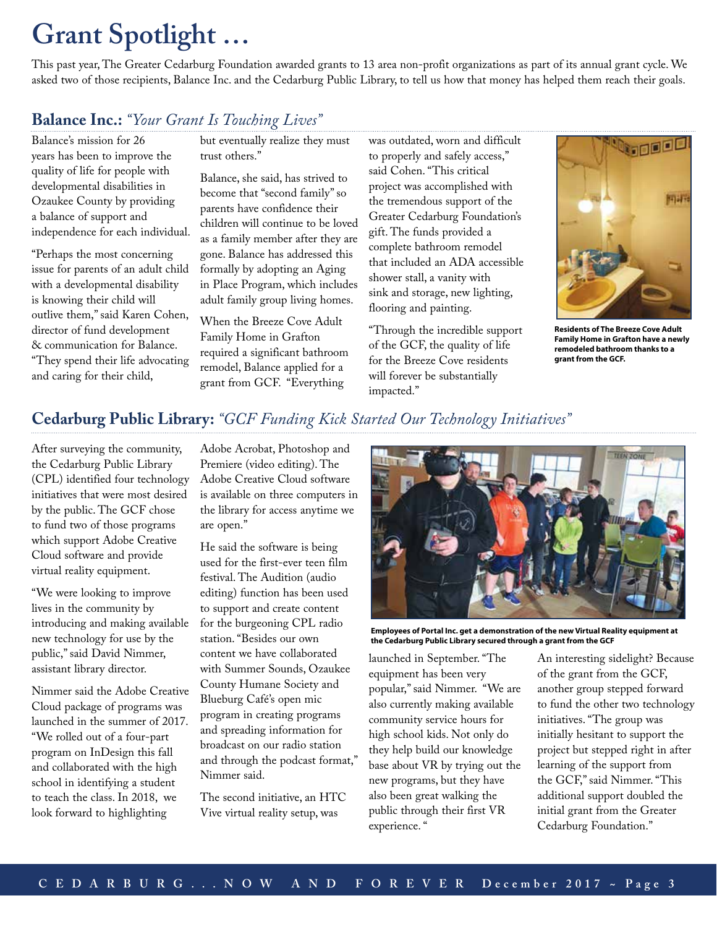# **Grant Spotlight …**

This past year, The Greater Cedarburg Foundation awarded grants to 13 area non-profit organizations as part of its annual grant cycle. We asked two of those recipients, Balance Inc. and the Cedarburg Public Library, to tell us how that money has helped them reach their goals.

## **Balance Inc.:** *"Your Grant Is Touching Lives"*

Balance's mission for 26 years has been to improve the quality of life for people with developmental disabilities in Ozaukee County by providing a balance of support and independence for each individual.

"Perhaps the most concerning issue for parents of an adult child with a developmental disability is knowing their child will outlive them," said Karen Cohen, director of fund development & communication for Balance. "They spend their life advocating and caring for their child,

but eventually realize they must trust others."

Balance, she said, has strived to become that "second family" so parents have confidence their children will continue to be loved as a family member after they are gone. Balance has addressed this formally by adopting an Aging in Place Program, which includes adult family group living homes.

When the Breeze Cove Adult Family Home in Grafton required a significant bathroom remodel, Balance applied for a grant from GCF. "Everything

was outdated, worn and difficult to properly and safely access," said Cohen. "This critical project was accomplished with the tremendous support of the Greater Cedarburg Foundation's gift. The funds provided a complete bathroom remodel that included an ADA accessible shower stall, a vanity with sink and storage, new lighting, flooring and painting.

"Through the incredible support of the GCF, the quality of life for the Breeze Cove residents will forever be substantially impacted."



**Residents of The Breeze Cove Adult Family Home in Grafton have a newly remodeled bathroom thanks to a grant from the GCF.**

## **Cedarburg Public Library:** *"GCF Funding Kick Started Our Technology Initiatives"*

After surveying the community, the Cedarburg Public Library (CPL) identified four technology initiatives that were most desired by the public. The GCF chose to fund two of those programs which support Adobe Creative Cloud software and provide virtual reality equipment.

"We were looking to improve lives in the community by introducing and making available new technology for use by the public," said David Nimmer, assistant library director.

Nimmer said the Adobe Creative Cloud package of programs was launched in the summer of 2017. "We rolled out of a four-part program on InDesign this fall and collaborated with the high school in identifying a student to teach the class. In 2018, we look forward to highlighting

Adobe Acrobat, Photoshop and Premiere (video editing). The Adobe Creative Cloud software is available on three computers in the library for access anytime we are open."

He said the software is being used for the first-ever teen film festival. The Audition (audio editing) function has been used to support and create content for the burgeoning CPL radio station. "Besides our own content we have collaborated with Summer Sounds, Ozaukee County Humane Society and Blueburg Café's open mic program in creating programs and spreading information for broadcast on our radio station and through the podcast format," Nimmer said.

The second initiative, an HTC Vive virtual reality setup, was



**Employees of Portal Inc. get a demonstration of the new Virtual Reality equipment at the Cedarburg Public Library secured through a grant from the GCF**

launched in September. "The equipment has been very popular," said Nimmer. "We are also currently making available community service hours for high school kids. Not only do they help build our knowledge base about VR by trying out the new programs, but they have also been great walking the public through their first VR experience. "

An interesting sidelight? Because of the grant from the GCF, another group stepped forward to fund the other two technology initiatives. "The group was initially hesitant to support the project but stepped right in after learning of the support from the GCF," said Nimmer. "This additional support doubled the initial grant from the Greater Cedarburg Foundation."